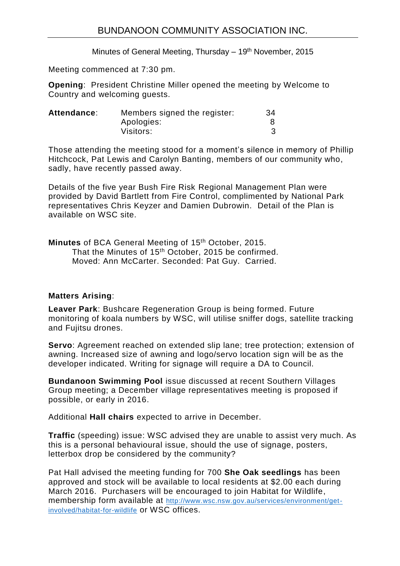Minutes of General Meeting, Thursday  $-19<sup>th</sup>$  November, 2015

Meeting commenced at 7:30 pm.

**Opening**: President Christine Miller opened the meeting by Welcome to Country and welcoming guests.

| Attendance: | Members signed the register: | 34 |
|-------------|------------------------------|----|
|             | Apologies:                   |    |
|             | Visitors:                    |    |

Those attending the meeting stood for a moment's silence in memory of Phillip Hitchcock, Pat Lewis and Carolyn Banting, members of our community who, sadly, have recently passed away.

Details of the five year Bush Fire Risk Regional Management Plan were provided by David Bartlett from Fire Control, complimented by National Park representatives Chris Keyzer and Damien Dubrowin. Detail of the Plan is available on WSC site.

Minutes of BCA General Meeting of 15<sup>th</sup> October, 2015. That the Minutes of 15<sup>th</sup> October, 2015 be confirmed. Moved: Ann McCarter. Seconded: Pat Guy. Carried.

## **Matters Arising**:

**Leaver Park**: Bushcare Regeneration Group is being formed. Future monitoring of koala numbers by WSC, will utilise sniffer dogs, satellite tracking and Fujitsu drones.

**Servo**: Agreement reached on extended slip lane; tree protection; extension of awning. Increased size of awning and logo/servo location sign will be as the developer indicated. Writing for signage will require a DA to Council.

**Bundanoon Swimming Pool** issue discussed at recent Southern Villages Group meeting; a December village representatives meeting is proposed if possible, or early in 2016.

Additional **Hall chairs** expected to arrive in December.

**Traffic** (speeding) issue: WSC advised they are unable to assist very much. As this is a personal behavioural issue, should the use of signage, posters, letterbox drop be considered by the community?

Pat Hall advised the meeting funding for 700 **She Oak seedlings** has been approved and stock will be available to local residents at \$2.00 each during March 2016. Purchasers will be encouraged to join Habitat for Wildlife, membership form available at [http://www.wsc.nsw.gov.au/services/environment/get](http://www.wsc.nsw.gov.au/services/environment/get-involved/habitat-for-wildlife)[involved/habitat-for-wildlife](http://www.wsc.nsw.gov.au/services/environment/get-involved/habitat-for-wildlife) or WSC offices.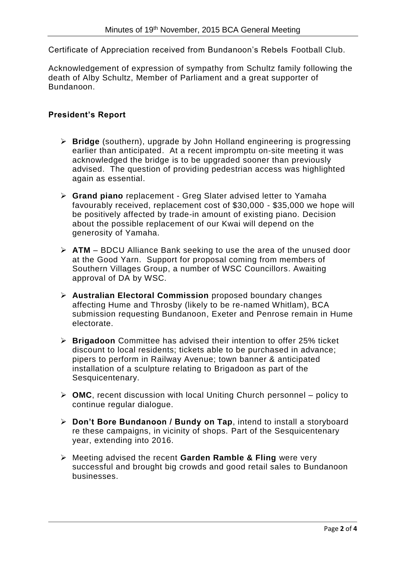Certificate of Appreciation received from Bundanoon's Rebels Football Club.

Acknowledgement of expression of sympathy from Schultz family following the death of Alby Schultz, Member of Parliament and a great supporter of Bundanoon.

## **President's Report**

- **Bridge** (southern), upgrade by John Holland engineering is progressing earlier than anticipated. At a recent impromptu on-site meeting it was acknowledged the bridge is to be upgraded sooner than previously advised. The question of providing pedestrian access was highlighted again as essential.
- **Grand piano** replacement Greg Slater advised letter to Yamaha favourably received, replacement cost of \$30,000 - \$35,000 we hope will be positively affected by trade-in amount of existing piano. Decision about the possible replacement of our Kwai will depend on the generosity of Yamaha.
- **ATM** BDCU Alliance Bank seeking to use the area of the unused door at the Good Yarn. Support for proposal coming from members of Southern Villages Group, a number of WSC Councillors. Awaiting approval of DA by WSC.
- **Australian Electoral Commission** proposed boundary changes affecting Hume and Throsby (likely to be re-named Whitlam), BCA submission requesting Bundanoon, Exeter and Penrose remain in Hume electorate.
- **Brigadoon** Committee has advised their intention to offer 25% ticket discount to local residents; tickets able to be purchased in advance; pipers to perform in Railway Avenue; town banner & anticipated installation of a sculpture relating to Brigadoon as part of the Sesquicentenary.
- **OMC**, recent discussion with local Uniting Church personnel policy to continue regular dialogue.
- **Don't Bore Bundanoon / Bundy on Tap**, intend to install a storyboard re these campaigns, in vicinity of shops. Part of the Sesquicentenary year, extending into 2016.
- Meeting advised the recent **Garden Ramble & Fling** were very successful and brought big crowds and good retail sales to Bundanoon businesses.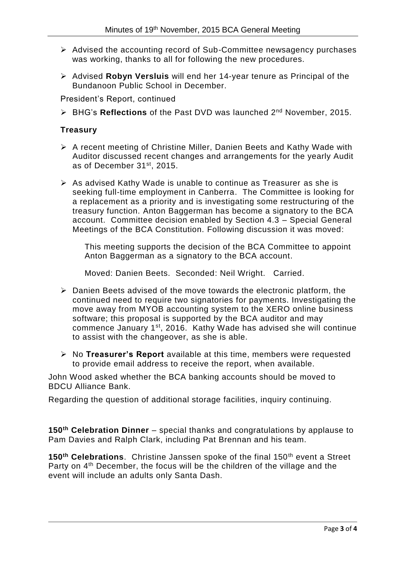- $\triangleright$  Advised the accounting record of Sub-Committee newsagency purchases was working, thanks to all for following the new procedures.
- Advised **Robyn Versluis** will end her 14-year tenure as Principal of the Bundanoon Public School in December.

President's Report, continued

BHG's **Reflections** of the Past DVD was launched 2nd November, 2015.

## **Treasury**

- $\triangleright$  A recent meeting of Christine Miller, Danien Beets and Kathy Wade with Auditor discussed recent changes and arrangements for the yearly Audit as of December 31st, 2015.
- $\triangleright$  As advised Kathy Wade is unable to continue as Treasurer as she is seeking full-time employment in Canberra. The Committee is looking for a replacement as a priority and is investigating some restructuring of the treasury function. Anton Baggerman has become a signatory to the BCA account. Committee decision enabled by Section 4.3 – Special General Meetings of the BCA Constitution. Following discussion it was moved:

This meeting supports the decision of the BCA Committee to appoint Anton Baggerman as a signatory to the BCA account.

Moved: Danien Beets. Seconded: Neil Wright. Carried.

- $\triangleright$  Danien Beets advised of the move towards the electronic platform, the continued need to require two signatories for payments. Investigating the move away from MYOB accounting system to the XERO online business software; this proposal is supported by the BCA auditor and may commence January 1st, 2016. Kathy Wade has advised she will continue to assist with the changeover, as she is able.
- No **Treasurer's Report** available at this time, members were requested to provide email address to receive the report, when available.

John Wood asked whether the BCA banking accounts should be moved to BDCU Alliance Bank.

Regarding the question of additional storage facilities, inquiry continuing.

**150th Celebration Dinner** – special thanks and congratulations by applause to Pam Davies and Ralph Clark, including Pat Brennan and his team.

**150th Celebrations**. Christine Janssen spoke of the final 150th event a Street Party on 4<sup>th</sup> December, the focus will be the children of the village and the event will include an adults only Santa Dash.